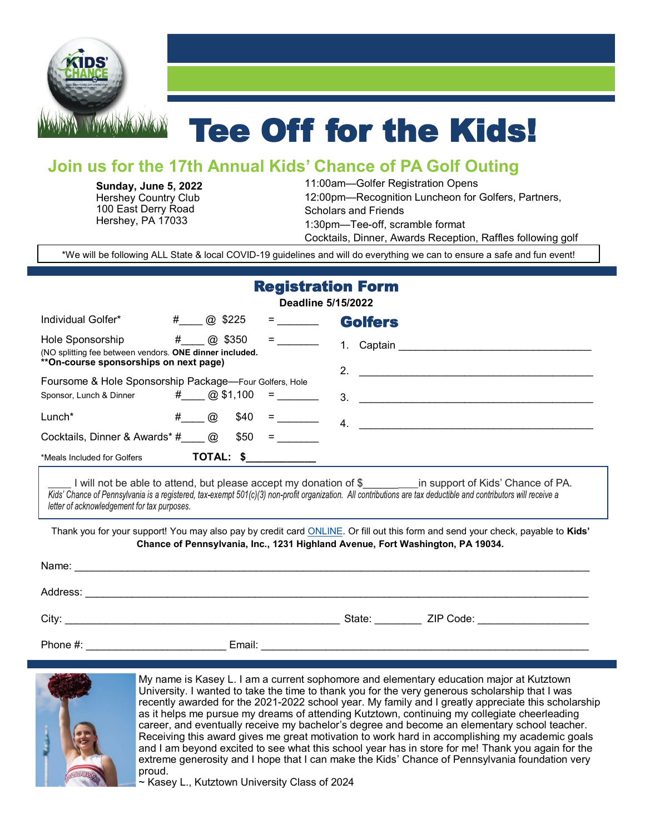

# Tee Off for the Kids!

## **Join us for the 17th Annual Kids' Chance of PA Golf Outing**

**Sunday, June 5, 2022** Hershey Country Club 100 East Derry Road Hershey, PA 17033

11:00am—Golfer Registration Opens 12:00pm—Recognition Luncheon for Golfers, Partners, Scholars and Friends 1:30pm—Tee-off, scramble format Cocktails, Dinner, Awards Reception, Raffles following golf

\*We will be following ALL State & local COVID-19 guidelines and will do everything we can to ensure a safe and fun event!

## Registration Form

|  | Deadline 5/15/2022 |  |
|--|--------------------|--|
|  |                    |  |

| Individual Golfer*                                                          | #<br>@ \$225           |                                                                                                                                                                                                                                                                                                                                                                                                                                                                                                   | <b>Golfers</b> |
|-----------------------------------------------------------------------------|------------------------|---------------------------------------------------------------------------------------------------------------------------------------------------------------------------------------------------------------------------------------------------------------------------------------------------------------------------------------------------------------------------------------------------------------------------------------------------------------------------------------------------|----------------|
| Hole Sponsorship<br>(NO splitting fee between vendors. ONE dinner included. | #<br>\$350<br>$\omega$ | $\begin{tabular}{c} \multicolumn{2}{c} {\textbf{1}} & \multicolumn{2}{c} {\textbf{1}} \\ \multicolumn{2}{c} {\textbf{1}} & \multicolumn{2}{c} {\textbf{1}} \\ \multicolumn{2}{c} {\textbf{1}} & \multicolumn{2}{c} {\textbf{1}} \\ \multicolumn{2}{c} {\textbf{1}} & \multicolumn{2}{c} {\textbf{1}} \\ \multicolumn{2}{c} {\textbf{1}} & \multicolumn{2}{c} {\textbf{1}} \\ \multicolumn{2}{c} {\textbf{1}} & \multicolumn{2}{c} {\textbf{1}} \\ \multicolumn{2}{c} {\textbf{1}} & \multicolumn$ | Captain        |
| **On-course sponsorships on next page)                                      |                        |                                                                                                                                                                                                                                                                                                                                                                                                                                                                                                   | 2.             |
| Foursome & Hole Sponsorship Package—Four Golfers, Hole                      |                        |                                                                                                                                                                                                                                                                                                                                                                                                                                                                                                   |                |
| Sponsor, Lunch & Dinner                                                     | $\#$ (@, \$1,100       | . = . <u>.</u>                                                                                                                                                                                                                                                                                                                                                                                                                                                                                    |                |
| $Lunch*$                                                                    | #<br>\$40<br>$\omega$  | =                                                                                                                                                                                                                                                                                                                                                                                                                                                                                                 | -4.            |
| Cocktails, Dinner & Awards* #                                               | \$50<br>$\omega$       |                                                                                                                                                                                                                                                                                                                                                                                                                                                                                                   |                |
| *Meals Included for Golfers                                                 | TOTAL: \$              |                                                                                                                                                                                                                                                                                                                                                                                                                                                                                                   |                |

I will not be able to attend, but please accept my donation of \$  $\qquad \qquad$  in support of Kids' Chance of PA. Kids' Chance of Pennsylvania is a registered, tax-exempt 501(c)(3) non-profit organization. All contributions are tax deductible and contributors will receive a letter of acknowledgement for tax purposes.

Thank you for your support! You may also pay by credit card [ONLINE.](https://www.kidschanceofpa.org/events/2022-hershey-golf) Or fill out this form and send your check, payable to **Kids' Chance of Pennsylvania, Inc., 1231 Highland Avenue, Fort Washington, PA 19034.**

| Name:    |        |        |           |
|----------|--------|--------|-----------|
| Address: |        |        |           |
| City:    |        | State: | ZIP Code: |
| Phone #: | Email: |        |           |



My name is Kasey L. I am a current sophomore and elementary education major at Kutztown University. I wanted to take the time to thank you for the very generous scholarship that I was recently awarded for the 2021-2022 school year. My family and I greatly appreciate this scholarship as it helps me pursue my dreams of attending Kutztown, continuing my collegiate cheerleading career, and eventually receive my bachelor's degree and become an elementary school teacher. Receiving this award gives me great motivation to work hard in accomplishing my academic goals and I am beyond excited to see what this school year has in store for me! Thank you again for the extreme generosity and I hope that I can make the Kids' Chance of Pennsylvania foundation very proud.

~ Kasey L., Kutztown University Class of 2024